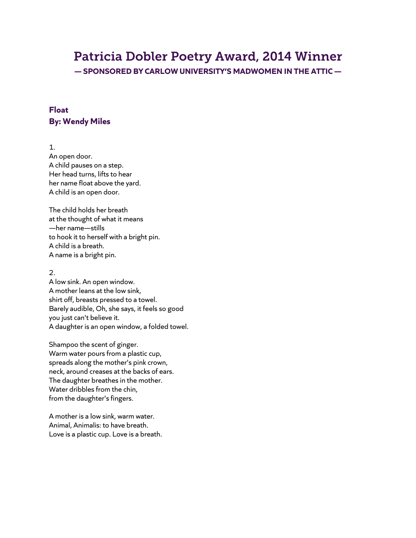## Patricia Dobler Poetry Award, 2014 Winner

**— SPONSORED BY CARLOW UNIVERSITY'S MADWOMEN IN THE ATTIC —**

## **Float By: Wendy Miles**

1. An open door. A child pauses on a step. Her head turns, lifts to hear her name float above the yard. A child is an open door.

The child holds her breath at the thought of what it means —her name—stills to hook it to herself with a bright pin. A child is a breath. A name is a bright pin.

2.

A low sink. An open window. A mother leans at the low sink, shirt off, breasts pressed to a towel. Barely audible, Oh, she says, it feels so good you just can't believe it. A daughter is an open window, a folded towel.

Shampoo the scent of ginger. Warm water pours from a plastic cup, spreads along the mother's pink crown, neck, around creases at the backs of ears. The daughter breathes in the mother. Water dribbles from the chin, from the daughter's fingers.

A mother is a low sink, warm water. Animal, Animalis: to have breath. Love is a plastic cup. Love is a breath.